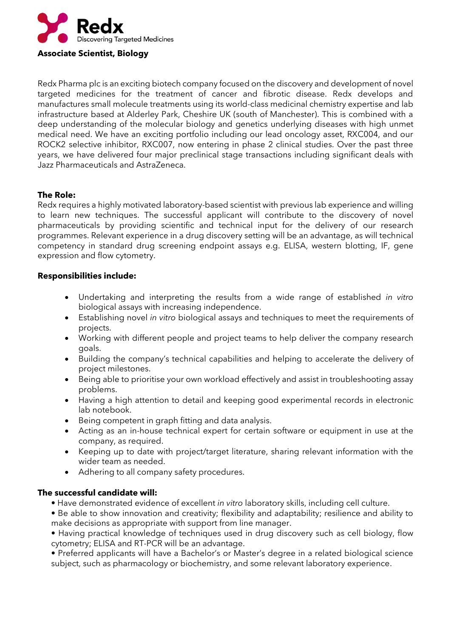

Redx Pharma plc is an exciting biotech company focused on the discovery and development of novel targeted medicines for the treatment of cancer and fibrotic disease. Redx develops and manufactures small molecule treatments using its world-class medicinal chemistry expertise and lab infrastructure based at Alderley Park, Cheshire UK (south of Manchester). This is combined with a deep understanding of the molecular biology and genetics underlying diseases with high unmet medical need. We have an exciting portfolio including our lead oncology asset, RXC004, and our ROCK2 selective inhibitor, RXC007, now entering in phase 2 clinical studies. Over the past three years, we have delivered four major preclinical stage transactions including significant deals with Jazz Pharmaceuticals and AstraZeneca.

## **The Role:**

Redx requires a highly motivated laboratory-based scientist with previous lab experience and willing to learn new techniques. The successful applicant will contribute to the discovery of novel pharmaceuticals by providing scientific and technical input for the delivery of our research programmes. Relevant experience in a drug discovery setting will be an advantage, as will technical competency in standard drug screening endpoint assays e.g. ELISA, western blotting, IF, gene expression and flow cytometry.

## **Responsibilities include:**

- Undertaking and interpreting the results from a wide range of established *in vitro* biological assays with increasing independence.
- Establishing novel *in vitro* biological assays and techniques to meet the requirements of projects.
- Working with different people and project teams to help deliver the company research goals.
- Building the company's technical capabilities and helping to accelerate the delivery of project milestones.
- Being able to prioritise your own workload effectively and assist in troubleshooting assay problems.
- Having a high attention to detail and keeping good experimental records in electronic lab notebook.
- Being competent in graph fitting and data analysis.
- Acting as an in-house technical expert for certain software or equipment in use at the company, as required.
- Keeping up to date with project/target literature, sharing relevant information with the wider team as needed.
- Adhering to all company safety procedures.

## **The successful candidate will:**

- Have demonstrated evidence of excellent *in vitro* laboratory skills, including cell culture.
- Be able to show innovation and creativity; flexibility and adaptability; resilience and ability to make decisions as appropriate with support from line manager.
- Having practical knowledge of techniques used in drug discovery such as cell biology, flow cytometry; ELISA and RT-PCR will be an advantage.
- Preferred applicants will have a Bachelor's or Master's degree in a related biological science subject, such as pharmacology or biochemistry, and some relevant laboratory experience.